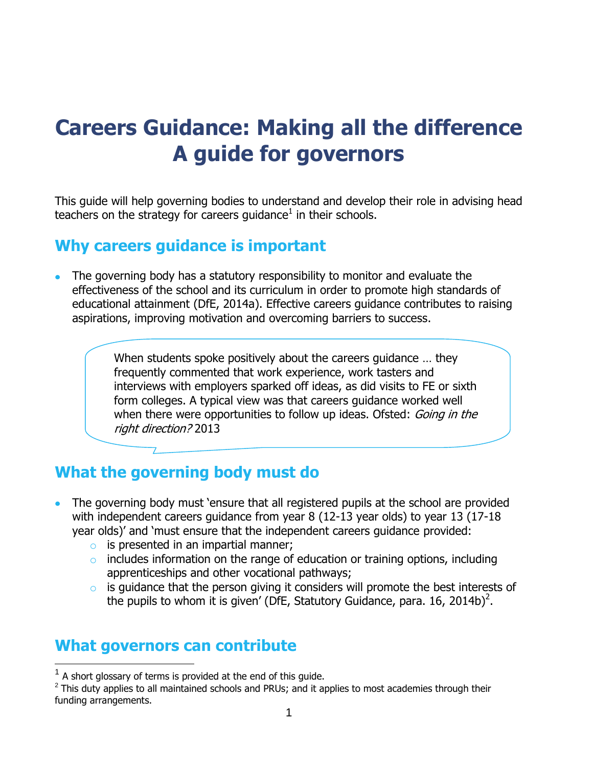# **Careers Guidance: Making all the difference A guide for governors**

This guide will help governing bodies to understand and develop their role in advising head teachers on the strategy for careers guidance $^1$  in their schools.

#### **Why careers guidance is important**

The governing body has a statutory responsibility to monitor and evaluate the effectiveness of the school and its curriculum in order to promote high standards of educational attainment (DfE, 2014a). Effective careers guidance contributes to raising aspirations, improving motivation and overcoming barriers to success.

> When students spoke positively about the careers guidance … they frequently commented that work experience, work tasters and interviews with employers sparked off ideas, as did visits to FE or sixth form colleges. A typical view was that careers guidance worked well when there were opportunities to follow up ideas. Ofsted: *Going in the* right direction? 2013

# **What the governing body must do**

- The governing body must 'ensure that all registered pupils at the school are provided with independent careers guidance from year 8 (12-13 year olds) to year 13 (17-18 year olds)' and 'must ensure that the independent careers guidance provided:
	- $\circ$  is presented in an impartial manner;
	- $\circ$  includes information on the range of education or training options, including apprenticeships and other vocational pathways;
	- $\circ$  is guidance that the person giving it considers will promote the best interests of the pupils to whom it is given' (DfE, Statutory Guidance, para. 16, 2014b)<sup>2</sup>.

#### **What governors can contribute**

l

 $2$  This duty applies to all maintained schools and PRUs; and it applies to most academies through their funding arrangements.

 $1$  A short glossary of terms is provided at the end of this guide.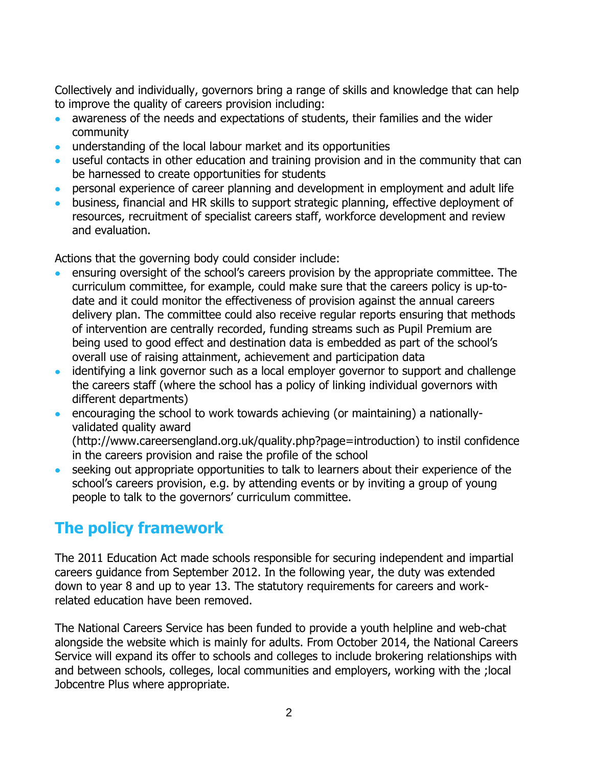Collectively and individually, governors bring a range of skills and knowledge that can help to improve the quality of careers provision including:

- awareness of the needs and expectations of students, their families and the wider  $\bullet$ community
- understanding of the local labour market and its opportunities
- useful contacts in other education and training provision and in the community that can  $\bullet$ be harnessed to create opportunities for students
- personal experience of career planning and development in employment and adult life
- business, financial and HR skills to support strategic planning, effective deployment of resources, recruitment of specialist careers staff, workforce development and review and evaluation.

Actions that the governing body could consider include:

- ensuring oversight of the school's careers provision by the appropriate committee. The curriculum committee, for example, could make sure that the careers policy is up-todate and it could monitor the effectiveness of provision against the annual careers delivery plan. The committee could also receive regular reports ensuring that methods of intervention are centrally recorded, funding streams such as Pupil Premium are being used to good effect and destination data is embedded as part of the school's overall use of raising attainment, achievement and participation data
- identifying a link governor such as a local employer governor to support and challenge the careers staff (where the school has a policy of linking individual governors with different departments)
- encouraging the school to work towards achieving (or maintaining) a nationallyvalidated quality award (http://www.careersengland.org.uk/quality.php?page=introduction) to instil confidence in the careers provision and raise the profile of the school
- seeking out appropriate opportunities to talk to learners about their experience of the school's careers provision, e.g. by attending events or by inviting a group of young people to talk to the governors' curriculum committee.

# **The policy framework**

The 2011 Education Act made schools responsible for securing independent and impartial careers guidance from September 2012. In the following year, the duty was extended down to year 8 and up to year 13. The statutory requirements for careers and workrelated education have been removed.

The National Careers Service has been funded to provide a youth helpline and web-chat alongside the website which is mainly for adults. From October 2014, the National Careers Service will expand its offer to schools and colleges to include brokering relationships with and between schools, colleges, local communities and employers, working with the ;local Jobcentre Plus where appropriate.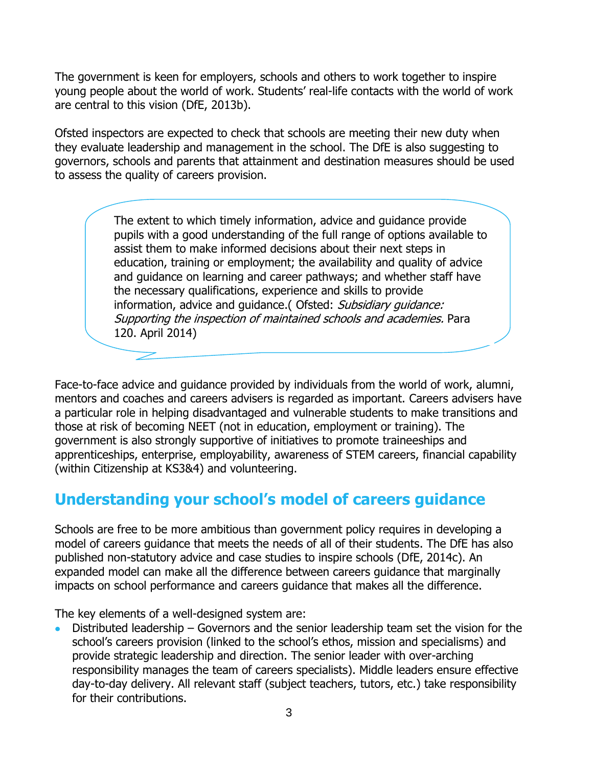The government is keen for employers, schools and others to work together to inspire young people about the world of work. Students' real-life contacts with the world of work are central to this vision (DfE, 2013b).

Ofsted inspectors are expected to check that schools are meeting their new duty when they evaluate leadership and management in the school. The DfE is also suggesting to governors, schools and parents that attainment and destination measures should be used to assess the quality of careers provision.

> The extent to which timely information, advice and guidance provide pupils with a good understanding of the full range of options available to assist them to make informed decisions about their next steps in education, training or employment; the availability and quality of advice and guidance on learning and career pathways; and whether staff have the necessary qualifications, experience and skills to provide information, advice and quidance. (Ofsted: Subsidiary quidance: Supporting the inspection of maintained schools and academies. Para 120. April 2014)

Face-to-face advice and guidance provided by individuals from the world of work, alumni, mentors and coaches and careers advisers is regarded as important. Careers advisers have a particular role in helping disadvantaged and vulnerable students to make transitions and those at risk of becoming NEET (not in education, employment or training). The government is also strongly supportive of initiatives to promote traineeships and apprenticeships, enterprise, employability, awareness of STEM careers, financial capability (within Citizenship at KS3&4) and volunteering.

### **Understanding your school's model of careers guidance**

Schools are free to be more ambitious than government policy requires in developing a model of careers guidance that meets the needs of all of their students. The DfE has also published non-statutory advice and case studies to inspire schools (DfE, 2014c). An expanded model can make all the difference between careers guidance that marginally impacts on school performance and careers guidance that makes all the difference.

The key elements of a well-designed system are:

Distributed leadership – Governors and the senior leadership team set the vision for the school's careers provision (linked to the school's ethos, mission and specialisms) and provide strategic leadership and direction. The senior leader with over-arching responsibility manages the team of careers specialists). Middle leaders ensure effective day-to-day delivery. All relevant staff (subject teachers, tutors, etc.) take responsibility for their contributions.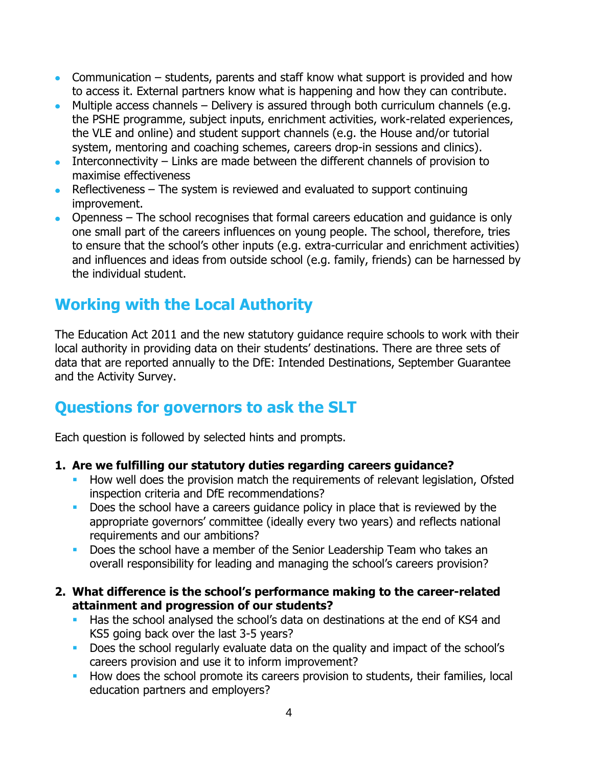- Communication students, parents and staff know what support is provided and how to access it. External partners know what is happening and how they can contribute.
- $\bullet$  Multiple access channels Delivery is assured through both curriculum channels (e.g. the PSHE programme, subject inputs, enrichment activities, work-related experiences, the VLE and online) and student support channels (e.g. the House and/or tutorial system, mentoring and coaching schemes, careers drop-in sessions and clinics).
- Interconnectivity Links are made between the different channels of provision to  $\bullet$ maximise effectiveness
- Reflectiveness The system is reviewed and evaluated to support continuing improvement.
- Openness The school recognises that formal careers education and guidance is only one small part of the careers influences on young people. The school, therefore, tries to ensure that the school's other inputs (e.g. extra-curricular and enrichment activities) and influences and ideas from outside school (e.g. family, friends) can be harnessed by the individual student.

# **Working with the Local Authority**

The Education Act 2011 and the new statutory guidance require schools to work with their local authority in providing data on their students' destinations. There are three sets of data that are reported annually to the DfE: Intended Destinations, September Guarantee and the Activity Survey.

# **Questions for governors to ask the SLT**

Each question is followed by selected hints and prompts.

#### **1. Are we fulfilling our statutory duties regarding careers guidance?**

- How well does the provision match the requirements of relevant legislation, Ofsted inspection criteria and DfE recommendations?
- Does the school have a careers guidance policy in place that is reviewed by the appropriate governors' committee (ideally every two years) and reflects national requirements and our ambitions?
- Does the school have a member of the Senior Leadership Team who takes an overall responsibility for leading and managing the school's careers provision?
- **2. What difference is the school's performance making to the career-related attainment and progression of our students?**
	- Has the school analysed the school's data on destinations at the end of KS4 and KS5 going back over the last 3-5 years?
	- Does the school regularly evaluate data on the quality and impact of the school's careers provision and use it to inform improvement?
	- How does the school promote its careers provision to students, their families, local education partners and employers?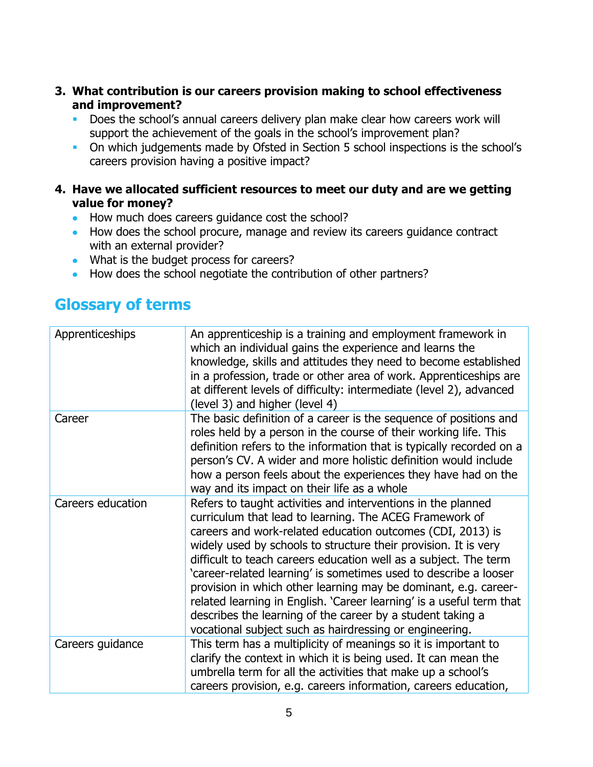- **3. What contribution is our careers provision making to school effectiveness and improvement?**
	- Does the school's annual careers delivery plan make clear how careers work will support the achievement of the goals in the school's improvement plan?
	- On which judgements made by Ofsted in Section 5 school inspections is the school's careers provision having a positive impact?
- **4. Have we allocated sufficient resources to meet our duty and are we getting value for money?**
	- How much does careers guidance cost the school?
	- How does the school procure, manage and review its careers guidance contract with an external provider?
	- What is the budget process for careers?
	- How does the school negotiate the contribution of other partners?

### **Glossary of terms**

| Apprenticeships   | An apprenticeship is a training and employment framework in<br>which an individual gains the experience and learns the<br>knowledge, skills and attitudes they need to become established<br>in a profession, trade or other area of work. Apprenticeships are<br>at different levels of difficulty: intermediate (level 2), advanced<br>(level 3) and higher (level 4)                                                                                                                                                                                                                                                                                              |
|-------------------|----------------------------------------------------------------------------------------------------------------------------------------------------------------------------------------------------------------------------------------------------------------------------------------------------------------------------------------------------------------------------------------------------------------------------------------------------------------------------------------------------------------------------------------------------------------------------------------------------------------------------------------------------------------------|
| Career            | The basic definition of a career is the sequence of positions and<br>roles held by a person in the course of their working life. This<br>definition refers to the information that is typically recorded on a<br>person's CV. A wider and more holistic definition would include<br>how a person feels about the experiences they have had on the<br>way and its impact on their life as a whole                                                                                                                                                                                                                                                                     |
| Careers education | Refers to taught activities and interventions in the planned<br>curriculum that lead to learning. The ACEG Framework of<br>careers and work-related education outcomes (CDI, 2013) is<br>widely used by schools to structure their provision. It is very<br>difficult to teach careers education well as a subject. The term<br>'career-related learning' is sometimes used to describe a looser<br>provision in which other learning may be dominant, e.g. career-<br>related learning in English. 'Career learning' is a useful term that<br>describes the learning of the career by a student taking a<br>vocational subject such as hairdressing or engineering. |
| Careers guidance  | This term has a multiplicity of meanings so it is important to<br>clarify the context in which it is being used. It can mean the<br>umbrella term for all the activities that make up a school's<br>careers provision, e.g. careers information, careers education,                                                                                                                                                                                                                                                                                                                                                                                                  |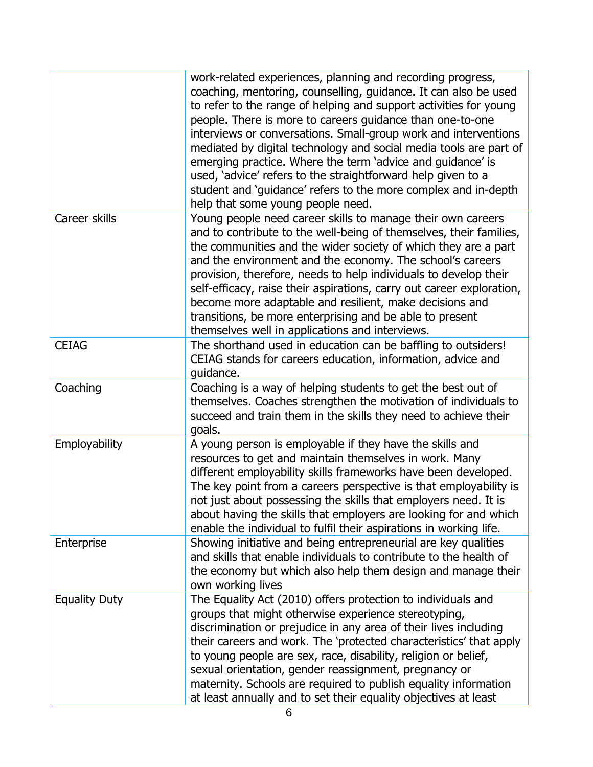|                      | work-related experiences, planning and recording progress,<br>coaching, mentoring, counselling, guidance. It can also be used<br>to refer to the range of helping and support activities for young<br>people. There is more to careers guidance than one-to-one<br>interviews or conversations. Small-group work and interventions<br>mediated by digital technology and social media tools are part of<br>emerging practice. Where the term 'advice and guidance' is<br>used, 'advice' refers to the straightforward help given to a<br>student and 'guidance' refers to the more complex and in-depth<br>help that some young people need. |
|----------------------|----------------------------------------------------------------------------------------------------------------------------------------------------------------------------------------------------------------------------------------------------------------------------------------------------------------------------------------------------------------------------------------------------------------------------------------------------------------------------------------------------------------------------------------------------------------------------------------------------------------------------------------------|
| Career skills        | Young people need career skills to manage their own careers<br>and to contribute to the well-being of themselves, their families,<br>the communities and the wider society of which they are a part<br>and the environment and the economy. The school's careers<br>provision, therefore, needs to help individuals to develop their<br>self-efficacy, raise their aspirations, carry out career exploration,<br>become more adaptable and resilient, make decisions and<br>transitions, be more enterprising and be able to present<br>themselves well in applications and interviews.                                                      |
| <b>CEIAG</b>         | The shorthand used in education can be baffling to outsiders!<br>CEIAG stands for careers education, information, advice and<br>guidance.                                                                                                                                                                                                                                                                                                                                                                                                                                                                                                    |
| Coaching             | Coaching is a way of helping students to get the best out of<br>themselves. Coaches strengthen the motivation of individuals to<br>succeed and train them in the skills they need to achieve their<br>goals.                                                                                                                                                                                                                                                                                                                                                                                                                                 |
| Employability        | A young person is employable if they have the skills and<br>resources to get and maintain themselves in work. Many<br>different employability skills frameworks have been developed.<br>The key point from a careers perspective is that employability is<br>not just about possessing the skills that employers need. It is<br>about having the skills that employers are looking for and which<br>enable the individual to fulfil their aspirations in working life.                                                                                                                                                                       |
| Enterprise           | Showing initiative and being entrepreneurial are key qualities<br>and skills that enable individuals to contribute to the health of<br>the economy but which also help them design and manage their<br>own working lives                                                                                                                                                                                                                                                                                                                                                                                                                     |
| <b>Equality Duty</b> | The Equality Act (2010) offers protection to individuals and<br>groups that might otherwise experience stereotyping,<br>discrimination or prejudice in any area of their lives including<br>their careers and work. The 'protected characteristics' that apply<br>to young people are sex, race, disability, religion or belief,<br>sexual orientation, gender reassignment, pregnancy or<br>maternity. Schools are required to publish equality information<br>at least annually and to set their equality objectives at least                                                                                                              |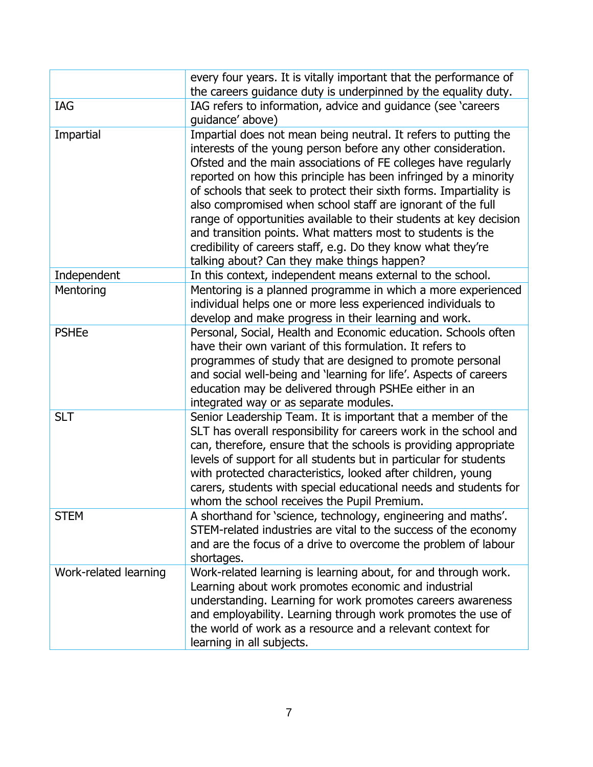|                       | every four years. It is vitally important that the performance of<br>the careers guidance duty is underpinned by the equality duty.                                                                                                                                                                                                                                                                                                                                                                                                                                                                                                                            |
|-----------------------|----------------------------------------------------------------------------------------------------------------------------------------------------------------------------------------------------------------------------------------------------------------------------------------------------------------------------------------------------------------------------------------------------------------------------------------------------------------------------------------------------------------------------------------------------------------------------------------------------------------------------------------------------------------|
| IAG                   | IAG refers to information, advice and guidance (see 'careers'<br>guidance' above)                                                                                                                                                                                                                                                                                                                                                                                                                                                                                                                                                                              |
| Impartial             | Impartial does not mean being neutral. It refers to putting the<br>interests of the young person before any other consideration.<br>Ofsted and the main associations of FE colleges have regularly<br>reported on how this principle has been infringed by a minority<br>of schools that seek to protect their sixth forms. Impartiality is<br>also compromised when school staff are ignorant of the full<br>range of opportunities available to their students at key decision<br>and transition points. What matters most to students is the<br>credibility of careers staff, e.g. Do they know what they're<br>talking about? Can they make things happen? |
| Independent           | In this context, independent means external to the school.                                                                                                                                                                                                                                                                                                                                                                                                                                                                                                                                                                                                     |
| Mentoring             | Mentoring is a planned programme in which a more experienced<br>individual helps one or more less experienced individuals to<br>develop and make progress in their learning and work.                                                                                                                                                                                                                                                                                                                                                                                                                                                                          |
| <b>PSHEe</b>          | Personal, Social, Health and Economic education. Schools often<br>have their own variant of this formulation. It refers to<br>programmes of study that are designed to promote personal<br>and social well-being and 'learning for life'. Aspects of careers<br>education may be delivered through PSHEe either in an<br>integrated way or as separate modules.                                                                                                                                                                                                                                                                                                |
| <b>SLT</b>            | Senior Leadership Team. It is important that a member of the<br>SLT has overall responsibility for careers work in the school and<br>can, therefore, ensure that the schools is providing appropriate<br>levels of support for all students but in particular for students<br>with protected characteristics, looked after children, young<br>carers, students with special educational needs and students for<br>whom the school receives the Pupil Premium.                                                                                                                                                                                                  |
| <b>STEM</b>           | A shorthand for 'science, technology, engineering and maths'.<br>STEM-related industries are vital to the success of the economy<br>and are the focus of a drive to overcome the problem of labour<br>shortages.                                                                                                                                                                                                                                                                                                                                                                                                                                               |
| Work-related learning | Work-related learning is learning about, for and through work.<br>Learning about work promotes economic and industrial<br>understanding. Learning for work promotes careers awareness<br>and employability. Learning through work promotes the use of<br>the world of work as a resource and a relevant context for<br>learning in all subjects.                                                                                                                                                                                                                                                                                                               |